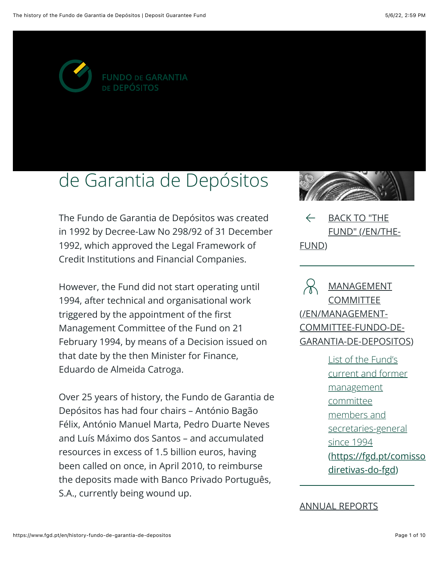

# de Garantia de Depósitos

The Fundo de Garantia de Depósitos was created in 1992 by Decree-Law No 298/92 of 31 December 1992, which approved the Legal Framework of Credit Institutions and Financial Companies.

However, the Fund did not start operating until 1994, after technical and organisational work triggered by the appointment of the first Management Committee of the Fund on 21 February 1994, by means of a Decision issued on that date by the then Minister for Finance, Eduardo de Almeida Catroga.

Over 25 years of history, the Fundo de Garantia de Depósitos has had four chairs - António Bagão Félix, António Manuel Marta, Pedro Duarte Neves and Luís Máximo dos Santos – and accumulated resources in excess of 1.5 billion euros, having been called on once, in April 2010, to reimburse the deposits made with Banco Privado Português, S.A., currently being wound up.



 $\leftarrow$ **BACK TO "THE** FUND" (/EN/THE-FUND)

**MANAGEMENT COMMITTEE** (/EN/MANAGEMENT-COMMITTEE-FUNDO-DE-**GARANTIA-DE-DEPOSITOS)** 

> List of the Fund's current and former management committee members and secretaries-general since 1994 (https://fgd.pt/comisso diretivas-do-fgd)

#### **ANNUAL REPORTS**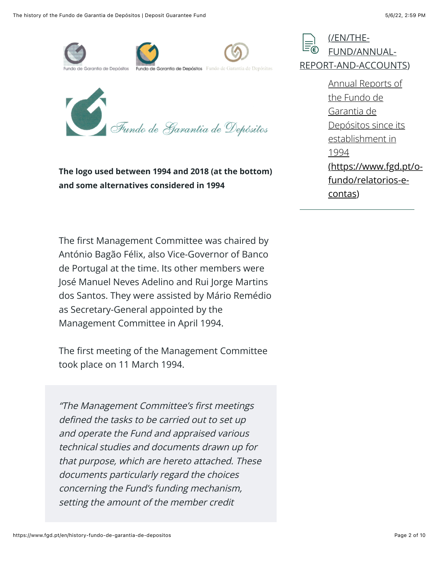



The logo used between 1994 and 2018 (at the bottom) and some alternatives considered in 1994

The first Management Committee was chaired by António Bagão Félix, also Vice-Governor of Banco de Portugal at the time. Its other members were José Manuel Neves Adelino and Rui Jorge Martins dos Santos. They were assisted by Mário Remédio as Secretary-General appointed by the Management Committee in April 1994.

The first meeting of the Management Committee took place on 11 March 1994.

"The Management Committee's first meetings defined the tasks to be carried out to set up and operate the Fund and appraised various technical studies and documents drawn up for that purpose, which are hereto attached. These documents particularly regard the choices concerning the Fund's funding mechanism, setting the amount of the member credit



Annual Reports of the Fundo de Garantia de Depósitos since its establishment in 1994 (https://www.fgd.pt/ofundo/relatorios-econtas)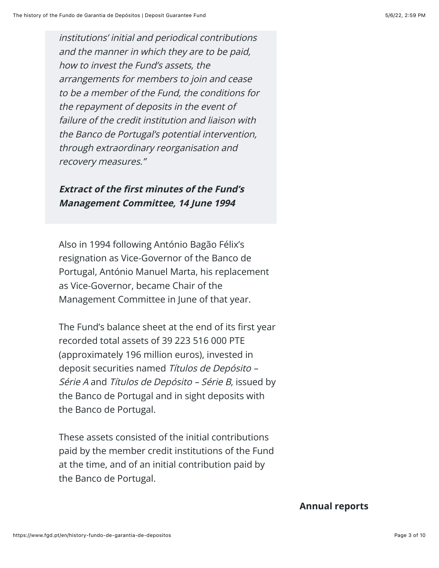institutions' initial and periodical contributions and the manner in which they are to be paid, how to invest the Fund's assets, the arrangements for members to join and cease to be a member of the Fund, the conditions for the repayment of deposits in the event of failure of the credit institution and liaison with the Banco de Portugal's potential intervention, through extraordinary reorganisation and recovery measures."

#### **Extract of the first minutes of the Fund's Management Committee, 14 June 1994**

Also in 1994 following António Bagão Félix's resignation as Vice-Governor of the Banco de Portugal, António Manuel Marta, his replacement as Vice-Governor, became Chair of the Management Committee in June of that year.

The Fund's balance sheet at the end of its first year recorded total assets of 39 223 516 000 PTE (approximately 196 million euros), invested in deposit securities named Títulos de Depósito -Série A and Títulos de Depósito – Série B, issued by the Banco de Portugal and in sight deposits with the Banco de Portugal.

These assets consisted of the initial contributions paid by the member credit institutions of the Fund at the time, and of an initial contribution paid by the Banco de Portugal.

#### **Annual reports**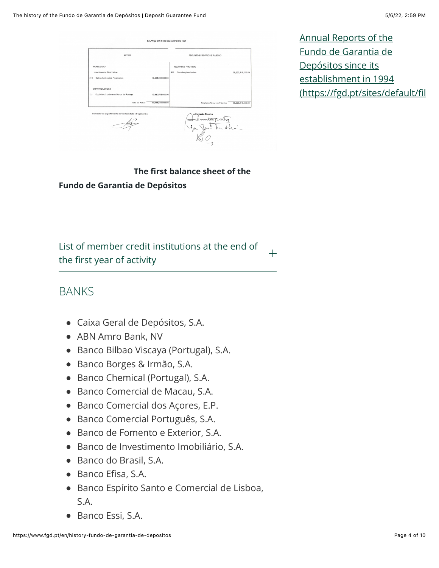| <b>ACTIVO</b>                                            |                   | RECURSOS PROPRIOS E PASSIVO |                   |
|----------------------------------------------------------|-------------------|-----------------------------|-------------------|
| IMORILIZADO                                              |                   | RECURSOS PROPRIOS           |                   |
| Investimentos Financeiros                                |                   | 511 Contribuições Iniciais  | 39,223,516,000.00 |
| 415 Outras Aplicações Financeiras                        | 19.403.000.000.00 |                             |                   |
|                                                          |                   |                             |                   |
| <b>DISPONIBILIDADES</b>                                  |                   |                             |                   |
| 121 Depósitos à ordem no Banco de Portugal               | 19.820.516.000.00 |                             |                   |
| Total do Activo                                          | 39,223,516,000.00 | Total dos Recursos Próprios | 39,223,516,000.00 |
| O Director do Departamento de Contabilidade e Pagamentos |                   | A Comissão Directiva        |                   |
|                                                          |                   |                             |                   |
| Arg                                                      |                   | hu.                         |                   |

Annual Reports of the Fundo de Garantia de Depósitos since its establishment in 1994 (https://fgd.pt/sites/default/fil

The first balance sheet of the **Fundo de Garantia de Depósitos** 

List of member credit institutions at the end of  $+$ the first year of activity

#### **BANKS**

- Caixa Geral de Depósitos, S.A.
- ABN Amro Bank, NV
- · Banco Bilbao Viscaya (Portugal), S.A.
- · Banco Borges & Irmão, S.A.
- Banco Chemical (Portugal), S.A.
- Banco Comercial de Macau, S.A.
- Banco Comercial dos Açores, E.P.
- · Banco Comercial Português, S.A.
- Banco de Fomento e Exterior, S.A.
- · Banco de Investimento Imobiliário, S.A.
- Banco do Brasil, S.A.
- Banco Efisa, S.A.
- · Banco Espírito Santo e Comercial de Lisboa,  $S.A.$
- Banco Essi, S.A.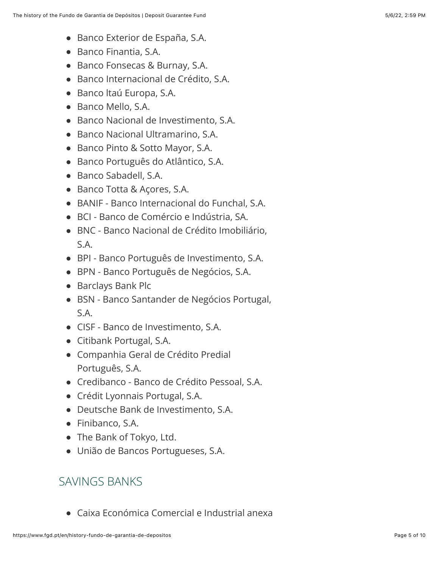- Banco Exterior de España, S.A.
- Banco Finantia, S.A.
- Banco Fonsecas & Burnay, S.A.
- · Banco Internacional de Crédito, S.A.
- · Banco Itaú Europa, S.A.
- Banco Mello, S.A.
- Banco Nacional de Investimento, S.A.
- Banco Nacional Ultramarino, S.A.
- Banco Pinto & Sotto Mayor, S.A.
- · Banco Português do Atlântico, S.A.
- Banco Sabadell, S.A.
- Banco Totta & Acores, S.A.
- BANIF Banco Internacional do Funchal, S.A.
- · BCI Banco de Comércio e Indústria, SA.
- · BNC Banco Nacional de Crédito Imobiliário,  $S.A.$
- · BPI Banco Português de Investimento, S.A.
- · BPN Banco Português de Negócios, S.A.
- Barclays Bank Plc
- · BSN Banco Santander de Negócios Portugal, S.A.
- CISF Banco de Investimento, S.A.
- Citibank Portugal, S.A.
- Companhia Geral de Crédito Predial Português, S.A.
- Credibanco Banco de Crédito Pessoal, S.A.
- Crédit Lyonnais Portugal, S.A.
- Deutsche Bank de Investimento, S.A.
- $\bullet$  Finibanco, S.A.
- The Bank of Tokyo, Ltd.
- · União de Bancos Portugueses, S.A.

# SAVINGS BANKS

• Caixa Económica Comercial e Industrial anexa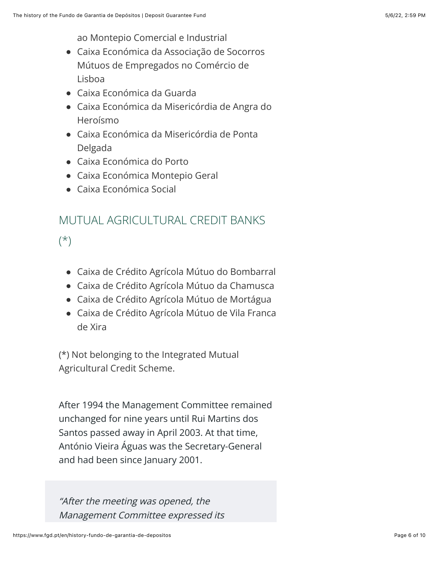ao Montepio Comercial e Industrial

- · Caixa Económica da Associação de Socorros Mútuos de Empregados no Comércio de Lishoa
- Caixa Económica da Guarda
- Caixa Económica da Misericórdia de Angra do Heroísmo
- Caixa Económica da Misericórdia de Ponta Delgada
- Caixa Económica do Porto
- Caixa Económica Montepio Geral
- Caixa Económica Social

# MUTUAL AGRICULTURAL CREDIT BANKS

 $(*)$ 

- Caixa de Crédito Agrícola Mútuo do Bombarral
- · Caixa de Crédito Agrícola Mútuo da Chamusca
- Caixa de Crédito Agrícola Mútuo de Mortágua
- Caixa de Crédito Agrícola Mútuo de Vila Franca de Xira

(\*) Not belonging to the Integrated Mutual Agricultural Credit Scheme.

After 1994 the Management Committee remained unchanged for nine years until Rui Martins dos Santos passed away in April 2003. At that time, António Vieira Águas was the Secretary-General and had been since January 2001.

"After the meeting was opened, the Management Committee expressed its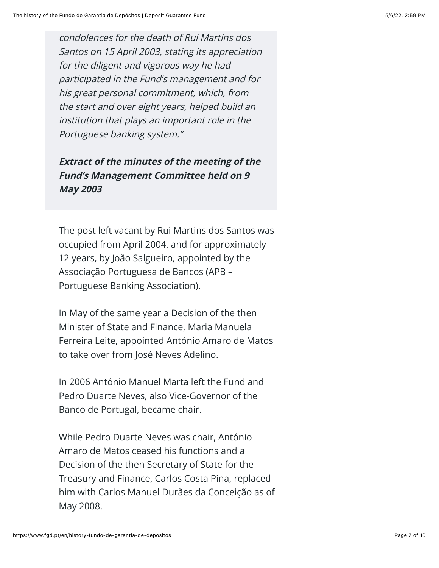condolences for the death of Rui Martins dos Santos on 15 April 2003, stating its appreciation for the diligent and vigorous way he had participated in the Fund's management and for his great personal commitment, which, from the start and over eight years, helped build an institution that plays an important role in the Portuguese banking system."

#### **Extract of the minutes of the meeting of the Fund's Management Committee held on 9 May 2003**

The post left vacant by Rui Martins dos Santos was occupied from April 2004, and for approximately 12 years, by João Salgueiro, appointed by the Associação Portuguesa de Bancos (APB -Portuguese Banking Association).

In May of the same year a Decision of the then Minister of State and Finance, Maria Manuela Ferreira Leite, appointed António Amaro de Matos to take over from José Neves Adelino.

In 2006 António Manuel Marta left the Fund and Pedro Duarte Neves, also Vice-Governor of the Banco de Portugal, became chair.

While Pedro Duarte Neves was chair, António Amaro de Matos ceased his functions and a Decision of the then Secretary of State for the Treasury and Finance, Carlos Costa Pina, replaced him with Carlos Manuel Durães da Conceição as of May 2008.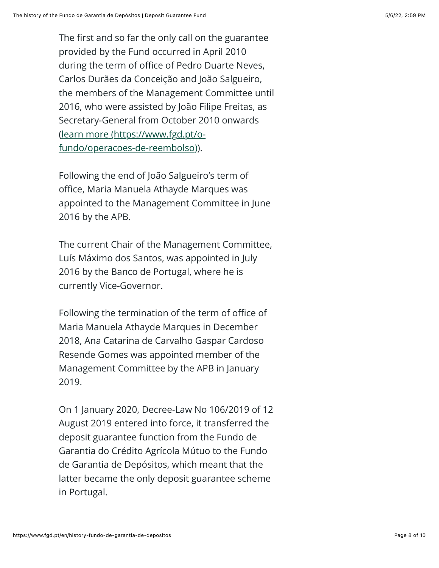The first and so far the only call on the guarantee provided by the Fund occurred in April 2010 during the term of office of Pedro Duarte Neves, Carlos Durães da Conceição and João Salgueiro, the members of the Management Committee until 2016, who were assisted by João Filipe Freitas, as Secretary-General from October 2010 onwards (learn more (https://www.fgd.pt/ofundo/operacoes-de-reembolso)).

Following the end of João Salgueiro's term of office, Maria Manuela Athayde Marques was appointed to the Management Committee in June 2016 by the APB.

The current Chair of the Management Committee, Luís Máximo dos Santos, was appointed in July 2016 by the Banco de Portugal, where he is currently Vice-Governor.

Following the termination of the term of office of Maria Manuela Athayde Marques in December 2018, Ana Catarina de Carvalho Gaspar Cardoso Resende Gomes was appointed member of the Management Committee by the APB in January 2019.

On 1 January 2020, Decree-Law No 106/2019 of 12 August 2019 entered into force, it transferred the deposit guarantee function from the Fundo de Garantia do Crédito Agrícola Mútuo to the Fundo de Garantia de Depósitos, which meant that the latter became the only deposit guarantee scheme in Portugal.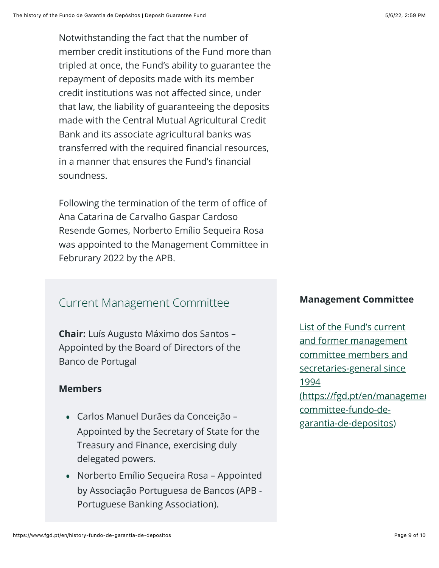Notwithstanding the fact that the number of member credit institutions of the Fund more than tripled at once, the Fund's ability to guarantee the repayment of deposits made with its member credit institutions was not affected since, under that law, the liability of guaranteeing the deposits made with the Central Mutual Agricultural Credit Bank and its associate agricultural banks was transferred with the required financial resources, in a manner that ensures the Fund's financial soundness.

Following the termination of the term of office of Ana Catarina de Carvalho Gaspar Cardoso Resende Gomes, Norberto Emílio Sequeira Rosa was appointed to the Management Committee in Februrary 2022 by the APB.

### **Current Management Committee**

**Chair:** Luís Augusto Máximo dos Santos -Appointed by the Board of Directors of the Banco de Portugal

#### **Members**

- Carlos Manuel Durães da Conceição Appointed by the Secretary of State for the Treasury and Finance, exercising duly delegated powers.
- Norberto Emílio Sequeira Rosa Appointed by Associação Portuguesa de Bancos (APB -Portuguese Banking Association).

#### **Management Committee**

List of the Fund's current and former management committee members and secretaries-general since 1994 (https://fgd.pt/en/managemer committee-fundo-degarantia-de-depositos)